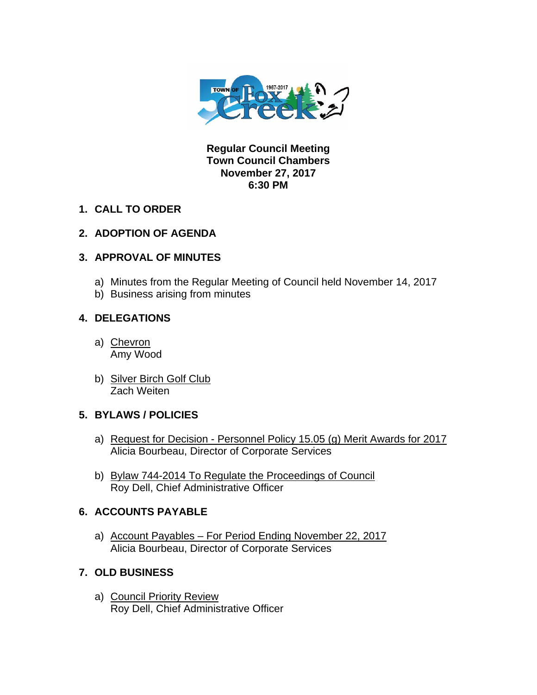

**Regular Council Meeting Town Council Chambers November 27, 2017 6:30 PM** 

**1. CALL TO ORDER** 

# **2. ADOPTION OF AGENDA**

# **3. APPROVAL OF MINUTES**

- a) Minutes from the Regular Meeting of Council held November 14, 2017
- b) Business arising from minutes

## **4. DELEGATIONS**

- a) Chevron Amy Wood
- b) Silver Birch Golf Club Zach Weiten

## **5. BYLAWS / POLICIES**

- a) Request for Decision Personnel Policy 15.05 (g) Merit Awards for 2017 Alicia Bourbeau, Director of Corporate Services
- b) Bylaw 744-2014 To Regulate the Proceedings of Council Roy Dell, Chief Administrative Officer

# **6. ACCOUNTS PAYABLE**

a) Account Payables – For Period Ending November 22, 2017 Alicia Bourbeau, Director of Corporate Services

# **7. OLD BUSINESS**

a) Council Priority Review Roy Dell, Chief Administrative Officer